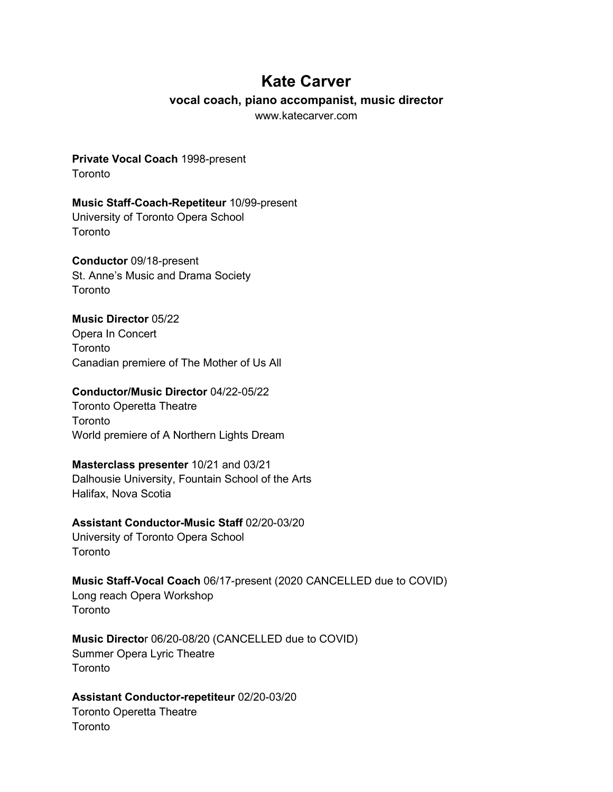## **Kate Carver**

#### **vocal coach, piano accompanist, music director**

www.katecarver.com

#### **Private Vocal Coach** 1998-present **Toronto**

### **Music Staff-Coach-Repetiteur** 10/99-present University of Toronto Opera School **Toronto**

## **Conductor** 09/18-present

St. Anne's Music and Drama Society **Toronto** 

## **Music Director** 05/22

Opera In Concert **Toronto** Canadian premiere of The Mother of Us All

## **Conductor/Music Director** 04/22-05/22

Toronto Operetta Theatre **Toronto** World premiere of A Northern Lights Dream

## **Masterclass presenter** 10/21 and 03/21

Dalhousie University, Fountain School of the Arts Halifax, Nova Scotia

## **Assistant Conductor-Music Staff** 02/20-03/20

University of Toronto Opera School **Toronto** 

## **Music Staff-Vocal Coach** 06/17-present (2020 CANCELLED due to COVID) Long reach Opera Workshop

**Toronto** 

**Music Directo**r 06/20-08/20 (CANCELLED due to COVID) Summer Opera Lyric Theatre Toronto

## **Assistant Conductor-repetiteur** 02/20-03/20

Toronto Operetta Theatre **Toronto**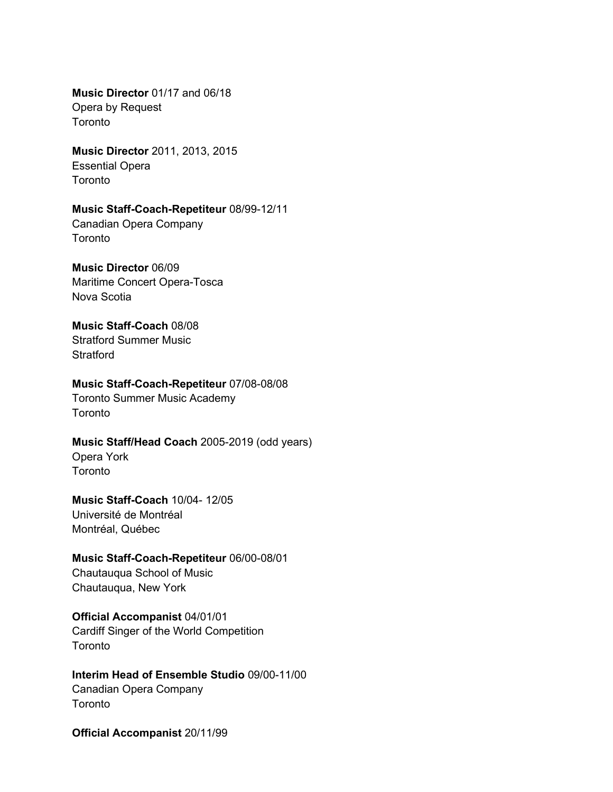**Music Director** 01/17 and 06/18 Opera by Request **Toronto** 

**Music Director** 2011, 2013, 2015 Essential Opera Toronto

#### **Music Staff-Coach-Repetiteur** 08/99-12/11

Canadian Opera Company **Toronto** 

#### **Music Director** 06/09

Maritime Concert Opera-Tosca Nova Scotia

#### **Music Staff-Coach** 08/08

Stratford Summer Music Stratford

#### **Music Staff-Coach-Repetiteur** 07/08-08/08

Toronto Summer Music Academy **Toronto** 

#### **Music Staff/Head Coach** 2005-2019 (odd years)

Opera York Toronto

#### **Music Staff-Coach** 10/04- 12/05

Université de Montréal Montréal, Québec

#### **Music Staff-Coach-Repetiteur** 06/00-08/01

Chautauqua School of Music Chautauqua, New York

### **Official Accompanist** 04/01/01

Cardiff Singer of the World Competition Toronto

#### **Interim Head of Ensemble Studio** 09/00-11/00 Canadian Opera Company **Toronto**

**Official Accompanist** 20/11/99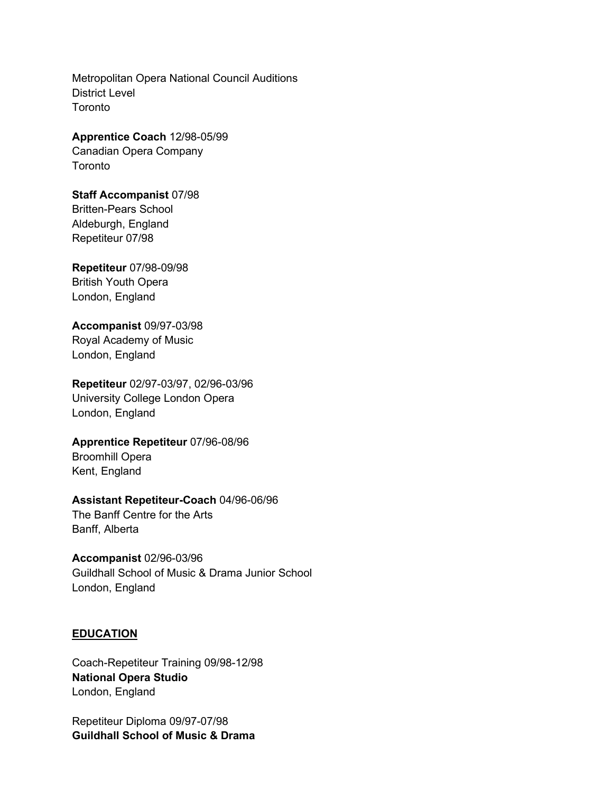Metropolitan Opera National Council Auditions District Level **Toronto** 

#### **Apprentice Coach** 12/98-05/99

Canadian Opera Company **Toronto** 

## **Staff Accompanist** 07/98

Britten-Pears School Aldeburgh, England Repetiteur 07/98

## **Repetiteur** 07/98-09/98 British Youth Opera London, England

## **Accompanist** 09/97-03/98

Royal Academy of Music London, England

**Repetiteur** 02/97-03/97, 02/96-03/96 University College London Opera London, England

# **Apprentice Repetiteur** 07/96-08/96

Broomhill Opera Kent, England

## **Assistant Repetiteur-Coach** 04/96-06/96

The Banff Centre for the Arts Banff, Alberta

## **Accompanist** 02/96-03/96

Guildhall School of Music & Drama Junior School London, England

## **EDUCATION**

Coach-Repetiteur Training 09/98-12/98 **National Opera Studio** London, England

Repetiteur Diploma 09/97-07/98 **Guildhall School of Music & Drama**